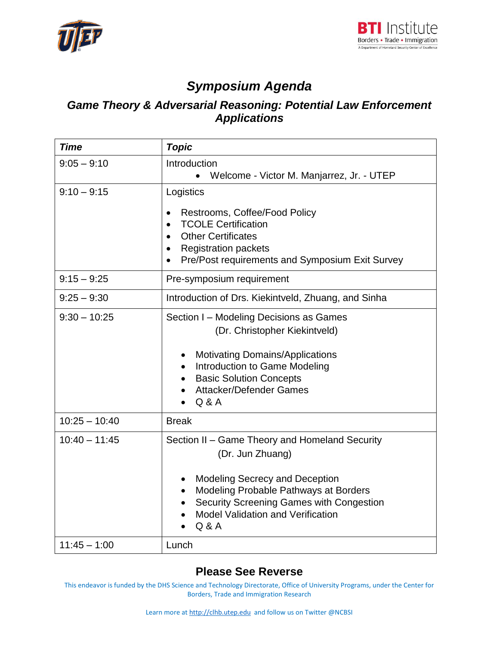



# *Symposium Agenda*

### *Game Theory & Adversarial Reasoning: Potential Law Enforcement Applications*

| <b>Time</b>     | <b>Topic</b>                                                                                                                                                                                                                                                                    |
|-----------------|---------------------------------------------------------------------------------------------------------------------------------------------------------------------------------------------------------------------------------------------------------------------------------|
| $9:05 - 9:10$   | Introduction<br>Welcome - Victor M. Manjarrez, Jr. - UTEP                                                                                                                                                                                                                       |
| $9:10 - 9:15$   | Logistics<br>Restrooms, Coffee/Food Policy<br>$\bullet$<br><b>TCOLE Certification</b><br>$\bullet$<br><b>Other Certificates</b><br>$\bullet$<br><b>Registration packets</b><br>$\bullet$<br>Pre/Post requirements and Symposium Exit Survey                                     |
| $9:15 - 9:25$   | Pre-symposium requirement                                                                                                                                                                                                                                                       |
| $9:25 - 9:30$   | Introduction of Drs. Kiekintveld, Zhuang, and Sinha                                                                                                                                                                                                                             |
| $9:30 - 10:25$  | Section I - Modeling Decisions as Games<br>(Dr. Christopher Kiekintveld)<br><b>Motivating Domains/Applications</b><br>Introduction to Game Modeling<br><b>Basic Solution Concepts</b><br><b>Attacker/Defender Games</b><br>Q & A                                                |
| $10:25 - 10:40$ | <b>Break</b>                                                                                                                                                                                                                                                                    |
| $10:40 - 11:45$ | Section II - Game Theory and Homeland Security<br>(Dr. Jun Zhuang)<br><b>Modeling Secrecy and Deception</b><br>$\bullet$<br>Modeling Probable Pathways at Borders<br>$\bullet$<br>Security Screening Games with Congestion<br><b>Model Validation and Verification</b><br>Q & A |
| $11:45 - 1:00$  | Lunch                                                                                                                                                                                                                                                                           |

#### **Please See Reverse**

This endeavor is funded by the DHS Science and Technology Directorate, Office of University Programs, under the Center for Borders, Trade and Immigration Research